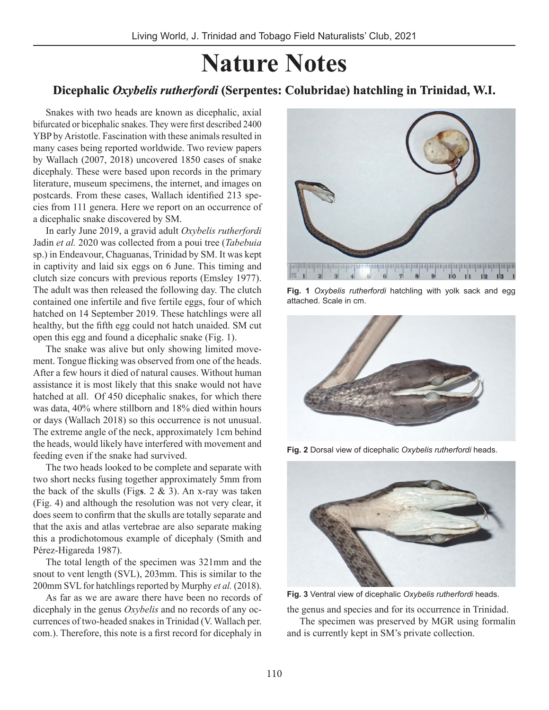# **Nature Notes**

# **Dicephalic** *Oxybelis rutherfordi* **(Serpentes: Colubridae) hatchling in Trinidad, W.I.**

Snakes with two heads are known as dicephalic, axial bifurcated or bicephalic snakes. They were first described 2400 YBP by Aristotle. Fascination with these animals resulted in many cases being reported worldwide. Two review papers by Wallach (2007, 2018) uncovered 1850 cases of snake dicephaly. These were based upon records in the primary literature, museum specimens, the internet, and images on postcards. From these cases, Wallach identified 213 species from 111 genera. Here we report on an occurrence of a dicephalic snake discovered by SM.

In early June 2019, a gravid adult *Oxybelis rutherfordi*  Jadin *et al.* 2020 was collected from a poui tree (*Tabebuia*  sp.) in Endeavour, Chaguanas, Trinidad by SM. It was kept in captivity and laid six eggs on 6 June. This timing and clutch size concurs with previous reports (Emsley 1977). The adult was then released the following day. The clutch contained one infertile and five fertile eggs, four of which hatched on 14 September 2019. These hatchlings were all healthy, but the fifth egg could not hatch unaided. SM cut open this egg and found a dicephalic snake (Fig. 1).

The snake was alive but only showing limited movement. Tongue flicking was observed from one of the heads. After a few hours it died of natural causes. Without human assistance it is most likely that this snake would not have hatched at all. Of 450 dicephalic snakes, for which there was data, 40% where stillborn and 18% died within hours or days (Wallach 2018) so this occurrence is not unusual. The extreme angle of the neck, approximately 1cm behind the heads, would likely have interfered with movement and feeding even if the snake had survived.

The two heads looked to be complete and separate with two short necks fusing together approximately 5mm from the back of the skulls (Fig**s**. 2 & 3). An x-ray was taken (Fig. 4) and although the resolution was not very clear, it does seem to confirm that the skulls are totally separate and that the axis and atlas vertebrae are also separate making this a prodichotomous example of dicephaly (Smith and Pérez-Higareda 1987).

The total length of the specimen was 321mm and the snout to vent length (SVL), 203mm. This is similar to the 200mm SVL for hatchlings reported by Murphy *et al.* (2018).

As far as we are aware there have been no records of dicephaly in the genus *Oxybelis* and no records of any occurrences of two-headed snakes in Trinidad (V. Wallach per. com.). Therefore, this note is a first record for dicephaly in



**Fig. 1** *Oxybelis rutherfordi* hatchling with yolk sack and egg attached. Scale in cm.



**Fig. 2** Dorsal view of dicephalic *Oxybelis rutherfordi* heads.



**Fig. 3** Ventral view of dicephalic *Oxybelis rutherfordi* heads.

the genus and species and for its occurrence in Trinidad.

The specimen was preserved by MGR using formalin and is currently kept in SM's private collection.